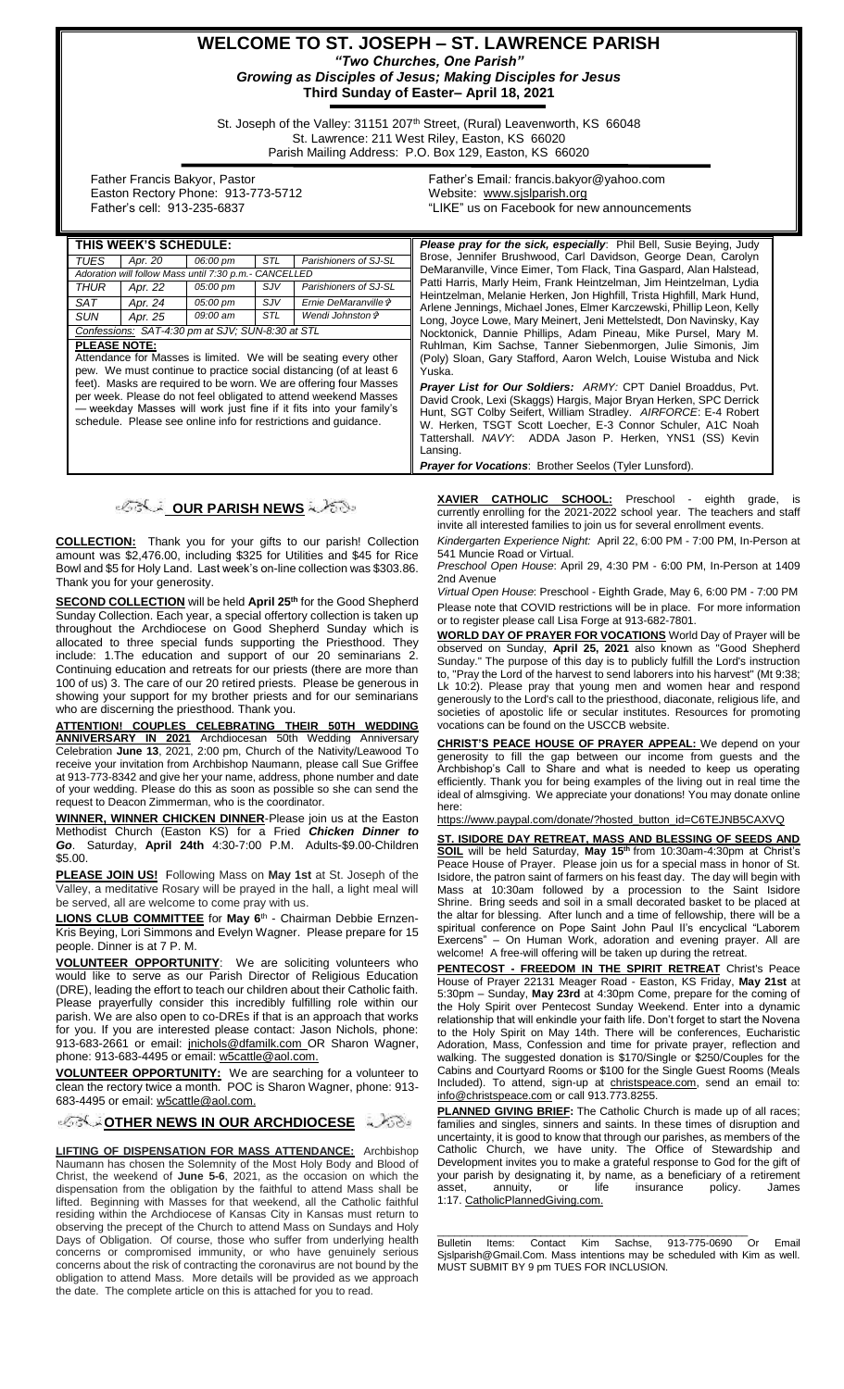## **WELCOME TO ST. JOSEPH – ST. LAWRENCE PARISH** *"Two Churches, One Parish" Growing as Disciples of Jesus; Making Disciples for Jesus* **Third Sunday of Easter– April 18, 2021**

St. Joseph of the Valley: 31151 207<sup>th</sup> Street, (Rural) Leavenworth, KS 66048 St. Lawrence: 211 West Riley, Easton, KS 66020 Parish Mailing Address: P.O. Box 129, Easton, KS 66020

 Father Francis Bakyor, Pastor Easton Rectory Phone: 913-773-5712 Father's cell: 913-235-6837

Father's Email*:* francis.bakyor@yahoo.com Website: [www.sjslparish.org](http://www.sjslparish.org/) "LIKE" us on Facebook for new announcements

| THIS WEEK'S SCHEDULE:                                              |         |          |     |                       | <b>Please pray for the sick, especially:</b> Phil Bell, Susie Beying, Judy                                                                                                                                                                                                                    |
|--------------------------------------------------------------------|---------|----------|-----|-----------------------|-----------------------------------------------------------------------------------------------------------------------------------------------------------------------------------------------------------------------------------------------------------------------------------------------|
| TUES                                                               | Apr. 20 | 06:00 pm | STL | Parishioners of SJ-SL | Brose, Jennifer Brushwood, Carl Davidson, George Dean, Carolyn                                                                                                                                                                                                                                |
| Adoration will follow Mass until 7:30 p.m.- CANCELLED              |         |          |     |                       | DeMaranville, Vince Eimer, Tom Flack, Tina Gaspard, Alan Halstead,                                                                                                                                                                                                                            |
| THUR                                                               | Apr. 22 | 05:00 pm | SJV | Parishioners of SJ-SL | Patti Harris, Marly Heim, Frank Heintzelman, Jim Heintzelman, Lydia<br>Heintzelman, Melanie Herken, Jon Highfill, Trista Highfill, Mark Hund,<br>Arlene Jennings, Michael Jones, Elmer Karczewski, Phillip Leon, Kelly<br>Long, Joyce Lowe, Mary Meinert, Jeni Mettelstedt, Don Navinsky, Kay |
| SAT                                                                | Apr. 24 | 05:00 pm | SJV | Ernie DeMaranville &  |                                                                                                                                                                                                                                                                                               |
| <b>SUN</b>                                                         | Apr. 25 | 09:00 am | STL | Wendi Johnston &      |                                                                                                                                                                                                                                                                                               |
| Confessions: SAT-4:30 pm at SJV; SUN-8:30 at STL                   |         |          |     |                       | Nocktonick, Dannie Phillips, Adam Pineau, Mike Pursel, Mary M.                                                                                                                                                                                                                                |
| <b>PLEASE NOTE:</b>                                                |         |          |     |                       | Ruhlman, Kim Sachse, Tanner Siebenmorgen, Julie Simonis, Jim<br>(Poly) Sloan, Gary Stafford, Aaron Welch, Louise Wistuba and Nick<br>Yuska.                                                                                                                                                   |
| Attendance for Masses is limited. We will be seating every other   |         |          |     |                       |                                                                                                                                                                                                                                                                                               |
| pew. We must continue to practice social distancing (of at least 6 |         |          |     |                       |                                                                                                                                                                                                                                                                                               |
| feet). Masks are required to be worn. We are offering four Masses  |         |          |     |                       | <b>Prayer List for Our Soldiers: ARMY: CPT Daniel Broaddus, Pvt.</b>                                                                                                                                                                                                                          |
| per week. Please do not feel obligated to attend weekend Masses    |         |          |     |                       | David Crook, Lexi (Skaggs) Hargis, Major Bryan Herken, SPC Derrick                                                                                                                                                                                                                            |
| — weekday Masses will work just fine if it fits into your family's |         |          |     |                       | Hunt, SGT Colby Seifert, William Stradley. AIRFORCE: E-4 Robert                                                                                                                                                                                                                               |
| schedule. Please see online info for restrictions and quidance.    |         |          |     |                       | W. Herken, TSGT Scott Loecher, E-3 Connor Schuler, A1C Noah                                                                                                                                                                                                                                   |
|                                                                    |         |          |     |                       | Tattershall. NAVY: ADDA Jason P. Herken, YNS1 (SS) Kevin<br>Lansing.                                                                                                                                                                                                                          |
|                                                                    |         |          |     |                       |                                                                                                                                                                                                                                                                                               |

# **OUR PARISH NEWS**

**COLLECTION:** Thank you for your gifts to our parish! Collection amount was \$2,476.00, including \$325 for Utilities and \$45 for Rice Bowl and \$5 for Holy Land. Last week's on-line collection was \$303.86. Thank you for your generosity.

**SECOND COLLECTION** will be held **April 25th** for the Good Shepherd Sunday Collection. Each year, a special offertory collection is taken up throughout the Archdiocese on Good Shepherd Sunday which is allocated to three special funds supporting the Priesthood. They include: 1.The education and support of our 20 seminarians 2. Continuing education and retreats for our priests (there are more than 100 of us) 3. The care of our 20 retired priests. Please be generous in showing your support for my brother priests and for our seminarians who are discerning the priesthood. Thank you.

**ATTENTION! COUPLES CELEBRATING THEIR 50TH WEDDING ANNIVERSARY IN 2021** Archdiocesan 50th Wedding Anniversary Celebration **June 13**, 2021, 2:00 pm, Church of the Nativity/Leawood To receive your invitation from Archbishop Naumann, please call Sue Griffee at 913-773-8342 and give her your name, address, phone number and date of your wedding. Please do this as soon as possible so she can send the request to Deacon Zimmerman, who is the coordinator.

**WINNER, WINNER CHICKEN DINNER**-Please join us at the Easton Methodist Church (Easton KS) for a Fried *Chicken Dinner to Go*. Saturday, **April 24th** 4:30-7:00 P.M. Adults-\$9.00-Children \$5.00.

**PLEASE JOIN US!** Following Mass on **May 1st** at St. Joseph of the Valley, a meditative Rosary will be prayed in the hall, a light meal will be served, all are welcome to come pray with us.

**LIONS CLUB COMMITTEE** for **May 6**th - Chairman Debbie Ernzen-Kris Beying, Lori Simmons and Evelyn Wagner. Please prepare for 15 people. Dinner is at 7 P. M.

**VOLUNTEER OPPORTUNITY**: We are soliciting volunteers who would like to serve as our Parish Director of Religious Education (DRE), leading the effort to teach our children about their Catholic faith. Please prayerfully consider this incredibly fulfilling role within our parish. We are also open to co-DREs if that is an approach that works for you. If you are interested please contact: Jason Nichols, phone: 913-683-2661 or email: [jnichols@dfamilk.com](mailto:jnichols@dfamilk.com)\_OR Sharon Wagner, phone: 913-683-4495 or email: [w5cattle@aol.com.](mailto:w5cattle@aol.com)

**VOLUNTEER OPPORTUNITY:** We are searching for a volunteer to clean the rectory twice a month. POC is Sharon Wagner, phone: 913- 683-4495 or email[: w5cattle@aol.com.](mailto:w5cattle@aol.com)

**[O](http://www.google.com/url?sa=i&rct=j&q=&esrc=s&source=images&cd=&cad=rja&uact=8&ved=0CAcQjRxqFQoTCL3M6dfYlskCFQfIYwodK-sMqA&url=http://www.clipartpanda.com/categories/corner-scroll-design&psig=AFQjCNEcNGu-GRs-N_tcfj31hDOCKS7EqQ&ust=1447823402338642)THER NEWS IN OUR ARCHDIOCESE** A 2689

**LIFTING OF DISPENSATION FOR MASS ATTENDANCE:** Archbishop Naumann has chosen the Solemnity of the Most Holy Body and Blood of Christ, the weekend of **June 5-6**, 2021, as the occasion on which the dispensation from the obligation by the faithful to attend Mass shall be lifted. Beginning with Masses for that weekend, all the Catholic faithful residing within the Archdiocese of Kansas City in Kansas must return to observing the precept of the Church to attend Mass on Sundays and Holy Days of Obligation. Of course, those who suffer from underlying health concerns or compromised immunity, or who have genuinely serious concerns about the risk of contracting the coronavirus are not bound by the obligation to attend Mass. More details will be provided as we approach the date. The complete article on this is attached for you to read.

XAVIER CATHOLIC SCHOOL: Preschool - eighth grade, currently enrolling for the 2021-2022 school year. The teachers and staff invite all interested families to join us for several enrollment events.

*Kindergarten Experience Night:* April 22, 6:00 PM - 7:00 PM, In-Person at 541 Muncie Road or Virtual.

*Preschool Open House*: April 29, 4:30 PM - 6:00 PM, In-Person at 1409 2nd Avenue

*Virtual Open House*: Preschool - Eighth Grade, May 6, 6:00 PM - 7:00 PM Please note that COVID restrictions will be in place. For more information or to register please call Lisa Forge at 913-682-7801.

**WORLD DAY OF PRAYER FOR VOCATIONS** World Day of Prayer will be observed on Sunday, **April 25, 2021** also known as "Good Shepherd Sunday." The purpose of this day is to publicly fulfill the Lord's instruction to, "Pray the Lord of the harvest to send laborers into his harvest" (Mt 9:38; Lk 10:2). Please pray that young men and women hear and respond generously to the Lord's call to the priesthood, diaconate, religious life, and societies of apostolic life or secular institutes. Resources for promoting vocations can be found on the USCCB website.

**CHRIST'S PEACE HOUSE OF PRAYER APPEAL:** We depend on your generosity to fill the gap between our income from guests and the Archbishop's Call to Share and what is needed to keep us operating efficiently. Thank you for being examples of the living out in real time the ideal of almsgiving. We appreciate your donations! You may donate online here:

[https://www.paypal.com/donate/?hosted\\_button\\_id=C6TEJNB5CAXVQ](https://www.paypal.com/donate/?hosted_button_id=C6TEJNB5CAXVQ)

**ST. ISIDORE DAY RETREAT, MASS AND BLESSING OF SEEDS AND SOIL** will be held Saturday, **May 15th** from 10:30am-4:30pm at Christ's Peace House of Prayer. Please join us for a special mass in honor of St. Isidore, the patron saint of farmers on his feast day. The day will begin with Mass at 10:30am followed by a procession to the Saint Isidore Shrine. Bring seeds and soil in a small decorated basket to be placed at the altar for blessing. After lunch and a time of fellowship, there will be a spiritual conference on Pope Saint John Paul II's encyclical "Laborem Exercens" – On Human Work, adoration and evening prayer. All are welcome! A free-will offering will be taken up during the retreat.

**PENTECOST - FREEDOM IN THE SPIRIT RETREAT** Christ's Peace House of Prayer 22131 Meager Road - Easton, KS Friday, **May 21st** at 5:30pm – Sunday, **May 23rd** at 4:30pm Come, prepare for the coming of the Holy Spirit over Pentecost Sunday Weekend. Enter into a dynamic relationship that will enkindle your faith life. Don't forget to start the Novena to the Holy Spirit on May 14th. There will be conferences, Eucharistic Adoration, Mass, Confession and time for private prayer, reflection and walking. The suggested donation is \$170/Single or \$250/Couples for the Cabins and Courtyard Rooms or \$100 for the Single Guest Rooms (Meals Included). To attend, sign-up at christspeace.com, send an email to: info@christspeace.com or call 913.773.8255.

**PLANNED GIVING BRIEF:** The Catholic Church is made up of all races; families and singles, sinners and saints. In these times of disruption and uncertainty, it is good to know that through our parishes, as members of the Catholic Church, we have unity. The Office of Stewardship and Development invites you to make a grateful response to God for the gift of your parish by designating it, by name, as a beneficiary of a retirement asset, annuity, or life insurance policy. James 1:17. [CatholicPlannedGiving.com.](http://archkck.giftlegacy.com/)

Bulletin Items: Contact Kim Sachse, 913-775-0690 Or Email Sjslparish@Gmail.Com. Mass intentions may be scheduled with Kim as well. MUST SUBMIT BY 9 pm TUES FOR INCLUSION.

\_\_\_\_\_\_\_\_\_\_\_\_\_\_\_\_\_\_\_\_\_\_\_\_\_\_\_\_\_\_\_\_\_\_\_\_\_\_\_\_\_\_\_\_\_\_\_\_\_\_\_\_\_\_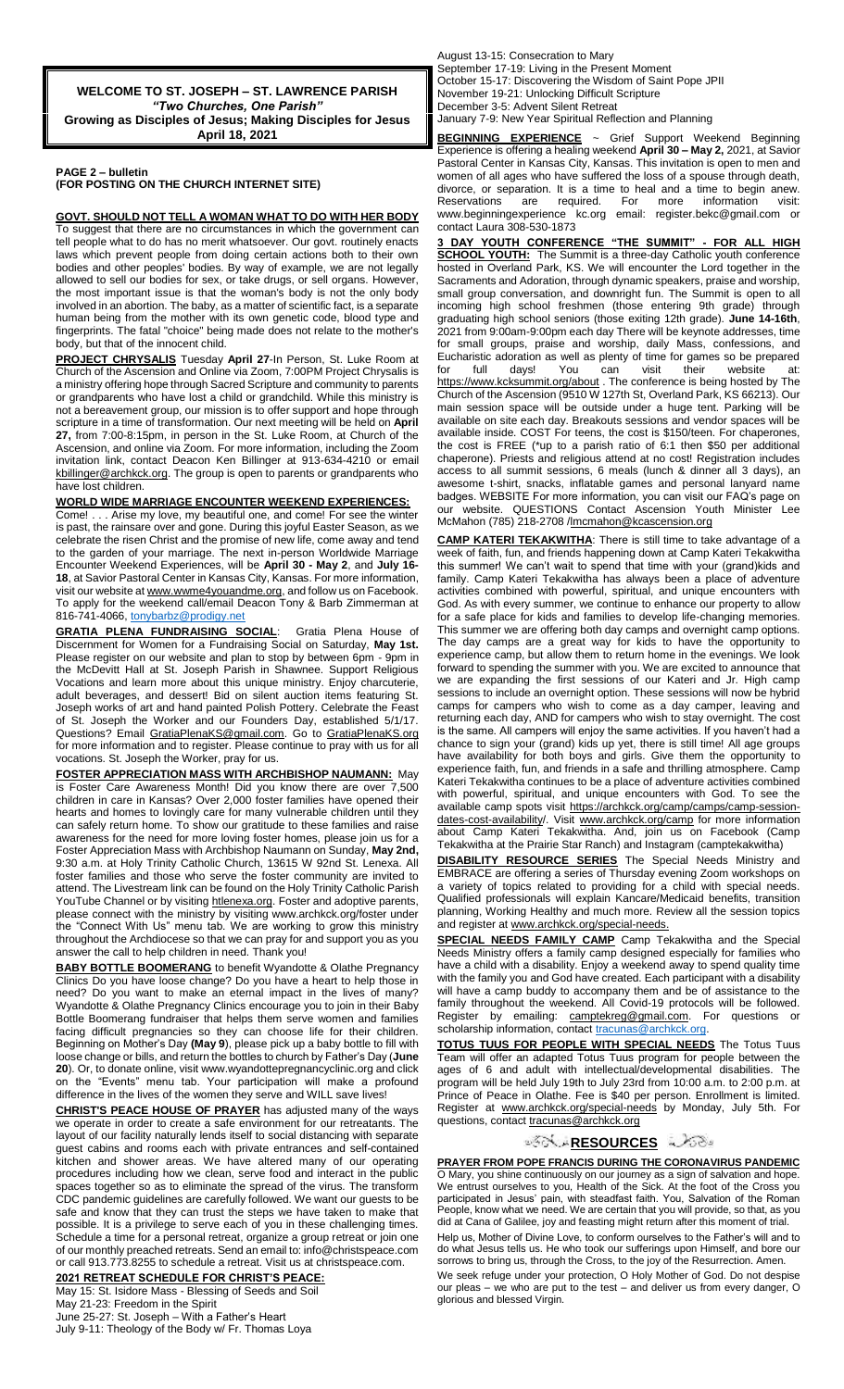**WELCOME TO ST. JOSEPH – ST. LAWRENCE PARISH** *"Two Churches, One Parish"* **Growing as Disciples of Jesus; Making Disciples for Jesus April 18, 2021**

#### **PAGE 2 – bulletin (FOR POSTING ON THE CHURCH INTERNET SITE)**

**GOVT. SHOULD NOT TELL A WOMAN WHAT TO DO WITH HER BODY**  To suggest that there are no circumstances in which the government can tell people what to do has no merit whatsoever. Our govt. routinely enacts laws which prevent people from doing certain actions both to their own bodies and other peoples' bodies. By way of example, we are not legally allowed to sell our bodies for sex, or take drugs, or sell organs. However, the most important issue is that the woman's body is not the only body involved in an abortion. The baby, as a matter of scientific fact, is a separate human being from the mother with its own genetic code, blood type and fingerprints. The fatal "choice" being made does not relate to the mother's body, but that of the innocent child.

**PROJECT CHRYSALIS** Tuesday **April 27**-In Person, St. Luke Room at Church of the Ascension and Online via Zoom, 7:00PM Project Chrysalis is a ministry offering hope through Sacred Scripture and community to parents or grandparents who have lost a child or grandchild. While this ministry is not a bereavement group, our mission is to offer support and hope through scripture in a time of transformation. Our next meeting will be held on **April 27,** from 7:00-8:15pm, in person in the St. Luke Room, at Church of the Ascension, and online via Zoom. For more information, including the Zoom invitation link, contact Deacon Ken Billinger at 913-634-4210 or email kbillinger@archkck.org. The group is open to parents or grandparents who have lost children.

#### **WORLD WIDE MARRIAGE ENCOUNTER WEEKEND EXPERIENCES:**

Come! . . . Arise my love, my beautiful one, and come! For see the winter is past, the rainsare over and gone. During this joyful Easter Season, as we celebrate the risen Christ and the promise of new life, come away and tend to the garden of your marriage. The next in-person Worldwide Marriage Encounter Weekend Experiences, will be **April 30 - May 2**, and **July 16- 18**, at Savior Pastoral Center in Kansas City, Kansas. For more information, visit our website at www.wwme4youandme.org, and follow us on Facebook. To apply for the weekend call/email Deacon Tony & Barb Zimmerman at 816-741-4066, [tonybarbz@prodigy.net](mailto:tonybarbz@prodigy.net)

**GRATIA PLENA FUNDRAISING SOCIAL**: Gratia Plena House of Discernment for Women for a Fundraising Social on Saturday, **May 1st.** Please register on our website and plan to stop by between 6pm - 9pm in the McDevitt Hall at St. Joseph Parish in Shawnee. Support Religious Vocations and learn more about this unique ministry. Enjoy charcuterie, adult beverages, and dessert! Bid on silent auction items featuring St. Joseph works of art and hand painted Polish Pottery. Celebrate the Feast of St. Joseph the Worker and our Founders Day, established 5/1/17. Questions? Email GratiaPlenaKS@gmail.com. Go to GratiaPlenaKS.org for more information and to register. Please continue to pray with us for all vocations. St. Joseph the Worker, pray for us.

**FOSTER APPRECIATION MASS WITH ARCHBISHOP NAUMANN:** May is Foster Care Awareness Month! Did you know there are over 7,500 children in care in Kansas? Over 2,000 foster families have opened their hearts and homes to lovingly care for many vulnerable children until they can safely return home. To show our gratitude to these families and raise awareness for the need for more loving foster homes, please join us for a Foster Appreciation Mass with Archbishop Naumann on Sunday, **May 2nd,** 9:30 a.m. at Holy Trinity Catholic Church, 13615 W 92nd St. Lenexa. All foster families and those who serve the foster community are invited to attend. The Livestream link can be found on the Holy Trinity Catholic Parish YouTube Channel or by visiting htlenexa.org. Foster and adoptive parents, please connect with the ministry by visiting www.archkck.org/foster under the "Connect With Us" menu tab. We are working to grow this ministry throughout the Archdiocese so that we can pray for and support you as you answer the call to help children in need. Thank you!

**BABY BOTTLE BOOMERANG** to benefit Wyandotte & Olathe Pregnancy Clinics Do you have loose change? Do you have a heart to help those in need? Do you want to make an eternal impact in the lives of many? Wyandotte & Olathe Pregnancy Clinics encourage you to join in their Baby Bottle Boomerang fundraiser that helps them serve women and families facing difficult pregnancies so they can choose life for their children. Beginning on Mother's Day **(May 9**), please pick up a baby bottle to fill with loose change or bills, and return the bottles to church by Father's Day (**June 20**). Or, to donate online, visit www.wyandottepregnancyclinic.org and click on the "Events" menu tab. Your participation will make a profound difference in the lives of the women they serve and WILL save lives!

**CHRIST'S PEACE HOUSE OF PRAYER** has adjusted many of the ways we operate in order to create a safe environment for our retreatants. The layout of our facility naturally lends itself to social distancing with separate guest cabins and rooms each with private entrances and self-contained kitchen and shower areas. We have altered many of our operating procedures including how we clean, serve food and interact in the public spaces together so as to eliminate the spread of the virus. The transform CDC pandemic guidelines are carefully followed. We want our guests to be safe and know that they can trust the steps we have taken to make that possible. It is a privilege to serve each of you in these challenging times. Schedule a time for a personal retreat, organize a group retreat or join one of our monthly preached retreats. Send an email to: info@christspeace.com or call 913.773.8255 to schedule a retreat. Visit us at christspeace.com.

**2021 RETREAT SCHEDULE FOR CHRIST'S PEACE:** May 15: St. Isidore Mass - Blessing of Seeds and Soil May 21-23: Freedom in the Spirit

June 25-27: St. Joseph – With a Father's Heart July 9-11: Theology of the Body w/ Fr. Thomas Loya August 13-15: Consecration to Mary September 17-19: Living in the Present Moment October 15-17: Discovering the Wisdom of Saint Pope JPII November 19-21: Unlocking Difficult Scripture December 3-5: Advent Silent Retreat January 7-9: New Year Spiritual Reflection and Planning

BEGINNING EXPERIENCE ~ Grief Support Weekend Beginning Experience is offering a healing weekend **April 30 – May 2,** 2021, at Savior Pastoral Center in Kansas City, Kansas. This invitation is open to men and women of all ages who have suffered the loss of a spouse through death, divorce, or separation. It is a time to heal and a time to begin anew. Reservations are required. For more information visit: www.beginningexperience kc.org email: register.bekc@gmail.com or contact Laura 308-530-1873

**3 DAY YOUTH CONFERENCE "THE SUMMIT" - FOR ALL HIGH SCHOOL YOUTH:** The Summit is a three-day Catholic youth conference hosted in Overland Park, KS. We will encounter the Lord together in the Sacraments and Adoration, through dynamic speakers, praise and worship, small group conversation, and downright fun. The Summit is open to all incoming high school freshmen (those entering 9th grade) through graduating high school seniors (those exiting 12th grade). **June 14-16th**, 2021 from 9:00am-9:00pm each day There will be keynote addresses, time for small groups, praise and worship, daily Mass, confessions, and Eucharistic adoration as well as plenty of time for games so be prepared for full days! You can visit their website at: <https://www.kcksummit.org/about> . The conference is being hosted by The Church of the Ascension (9510 W 127th St, Overland Park, KS 66213). Our main session space will be outside under a huge tent. Parking will be available on site each day. Breakouts sessions and vendor spaces will be available inside. COST For teens, the cost is \$150/teen. For chaperones, the cost is FREE (\*up to a parish ratio of 6:1 then \$50 per additional chaperone). Priests and religious attend at no cost! Registration includes access to all summit sessions, 6 meals (lunch & dinner all 3 days), an awesome t-shirt, snacks, inflatable games and personal lanyard name badges. WEBSITE For more information, you can visit our FAQ's page on website. QUESTIONS Contact Ascension Youth Minister McMahon (785) 218-2708 /Imcmahon@kcascension.org

**CAMP KATERI TEKAKWITHA**: There is still time to take advantage of a week of faith, fun, and friends happening down at Camp Kateri Tekakwitha this summer! We can't wait to spend that time with your (grand)kids and family. Camp Kateri Tekakwitha has always been a place of adventure activities combined with powerful, spiritual, and unique encounters with God. As with every summer, we continue to enhance our property to allow for a safe place for kids and families to develop life-changing memories. This summer we are offering both day camps and overnight camp options. The day camps are a great way for kids to have the opportunity to experience camp, but allow them to return home in the evenings. We look forward to spending the summer with you. We are excited to announce that we are expanding the first sessions of our Kateri and Jr. High camp sessions to include an overnight option. These sessions will now be hybrid camps for campers who wish to come as a day camper, leaving and returning each day, AND for campers who wish to stay overnight. The cost is the same. All campers will enjoy the same activities. If you haven't had a chance to sign your (grand) kids up yet, there is still time! All age groups have availability for both boys and girls. Give them the opportunity to experience faith, fun, and friends in a safe and thrilling atmosphere. Camp Kateri Tekakwitha continues to be a place of adventure activities combined with powerful, spiritual, and unique encounters with God. To see the available camp spots visit https://archkck.org/camp/camps/camp-sessiondates-cost-availability/. Visit www.archkck.org/camp for more information about Camp Kateri Tekakwitha. And, join us on Facebook (Camp Tekakwitha at the Prairie Star Ranch) and Instagram (camptekakwitha)

**DISABILITY RESOURCE SERIES** The Special Needs Ministry and EMBRACE are offering a series of Thursday evening Zoom workshops on a variety of topics related to providing for a child with special needs. Qualified professionals will explain Kancare/Medicaid benefits, transition planning, Working Healthy and much more. Review all the session topics and register at www.archkck.org/special-needs.

**SPECIAL NEEDS FAMILY CAMP** Camp Tekakwitha and the Special Needs Ministry offers a family camp designed especially for families who have a child with a disability. Enjoy a weekend away to spend quality time with the family you and God have created. Each participant with a disability will have a camp buddy to accompany them and be of assistance to the family throughout the weekend. All Covid-19 protocols will be followed. Register by emailing: camptekreg@gmail.com. For questions or scholarship information, contact [tracunas@archkck.org.](mailto:tracunas@archkck.org)

**TOTUS TUUS FOR PEOPLE WITH SPECIAL NEEDS** The Totus Tuus Team will offer an adapted Totus Tuus program for people between the ages of 6 and adult with intellectual/developmental disabilities. The program will be held July 19th to July 23rd from 10:00 a.m. to 2:00 p.m. at Prince of Peace in Olathe. Fee is \$40 per person. Enrollment is limited. Register at www.archkck.org/special-needs by Monday, July 5th. For questions, contact tracunas@archkck.org

### **ಿನ್ಸ್ಲೇ[R](http://www.google.com/url?sa=i&rct=j&q=&esrc=s&source=images&cd=&cad=rja&uact=8&ved=0CAcQjRxqFQoTCL3M6dfYlskCFQfIYwodK-sMqA&url=http://www.clipartpanda.com/categories/corner-scroll-design&psig=AFQjCNEcNGu-GRs-N_tcfj31hDOCKS7EqQ&ust=1447823402338642)ESOURCES** ಎ∕ನೌಿ

**PRAYER FROM POPE FRANCIS DURING THE CORONAVIRUS PANDEMIC** O Mary, you shine continuously on our journey as a sign of salvation and hope. We entrust ourselves to you, Health of the Sick. At the foot of the Cross you participated in Jesus' pain, with steadfast faith. You, Salvation of the Roman People, know what we need. We are certain that you will provide, so that, as you did at Cana of Galilee, joy and feasting might return after this moment of trial.

Help us, Mother of Divine Love, to conform ourselves to the Father's will and to do what Jesus tells us. He who took our sufferings upon Himself, and bore our sorrows to bring us, through the Cross, to the joy of the Resurrection. Amen.

We seek refuge under your protection, O Holy Mother of God. Do not despise our pleas – we who are put to the test – and deliver us from every danger, O glorious and blessed Virgin.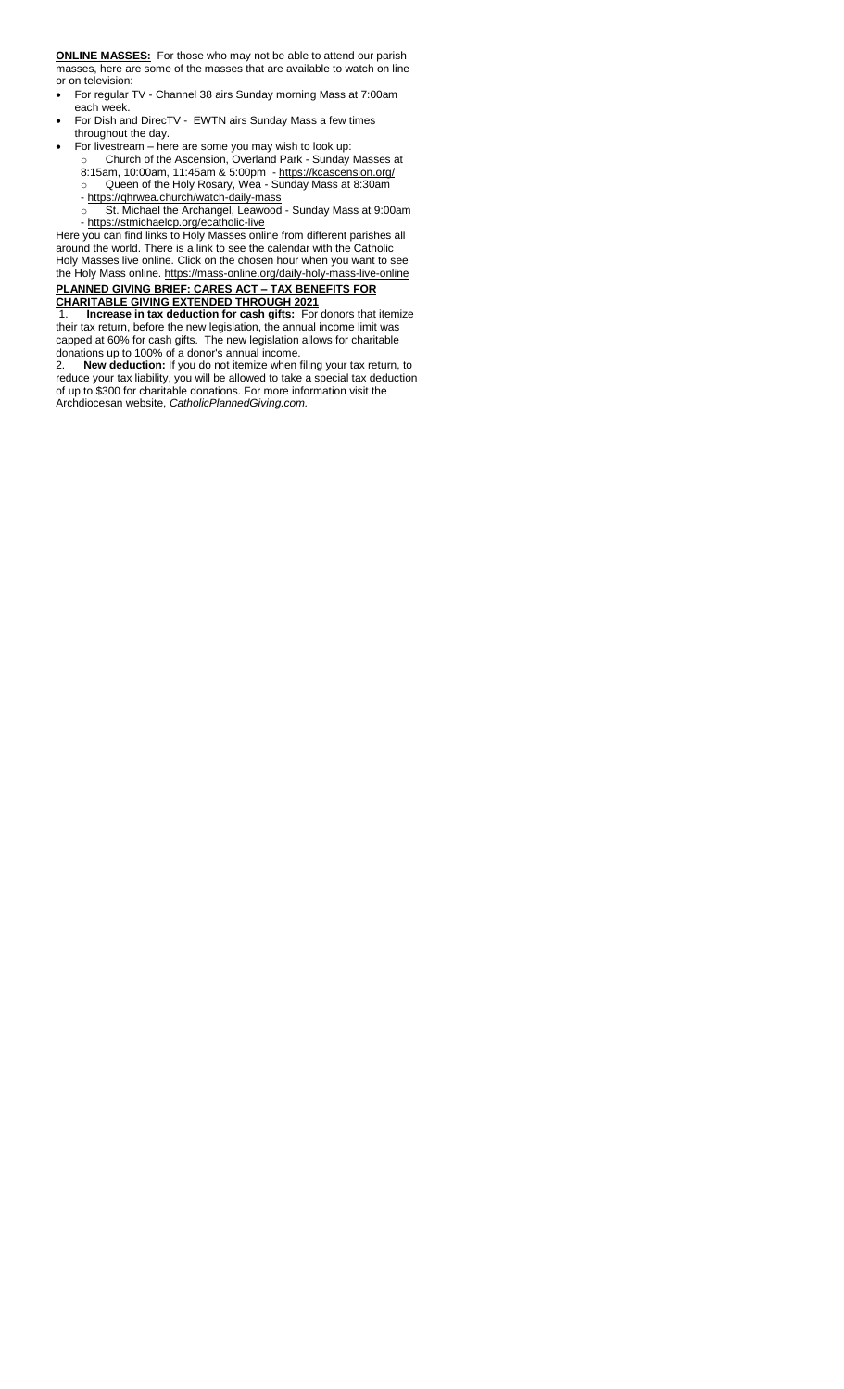**ONLINE MASSES:** For those who may not be able to attend our parish masses, here are some of the masses that are available to watch on line or on television:

- For regular TV Channel 38 airs Sunday morning Mass at 7:00am each week.
- For Dish and DirecTV EWTN airs Sunday Mass a few times throughout the day.
- For livestream here are some you may wish to look up: o Church of the Ascension, Overland Park - Sunday Masses at
	- 8:15am, 10:00am, 11:45am & 5:00pm <https://kcascension.org/> o Queen of the Holy Rosary, Wea - Sunday Mass at 8:30am
	- <https://qhrwea.church/watch-daily-mass> o St. Michael the Archangel, Leawood - Sunday Mass at 9:00am
	- <https://stmichaelcp.org/ecatholic-live>

Here you can find links to Holy Masses online from different parishes all around the world. There is a link to see the calendar with the Catholic Holy Masses live online. Click on the chosen hour when you want to see the Holy Mass online[. https://mass-online.org/daily-holy-mass-live-online](https://mass-online.org/daily-holy-mass-live-online) **PLANNED GIVING BRIEF: CARES ACT – TAX BENEFITS FOR CHARITABLE GIVING EXTENDED THROUGH 2021**

1. **Increase in tax deduction for cash gifts:** For donors that itemize their tax return, before the new legislation, the annual income limit was capped at 60% for cash gifts. The new legislation allows for charitable donations up to 100% of a donor's annual income.<br>2. New deduction: If you do not itemize when f

2. **New deduction:** If you do not itemize when filing your tax return, to reduce your tax liability, you will be allowed to take a special tax deduction of up to \$300 for charitable donations. For more information visit the Archdiocesan website, *CatholicPlannedGiving.com.*